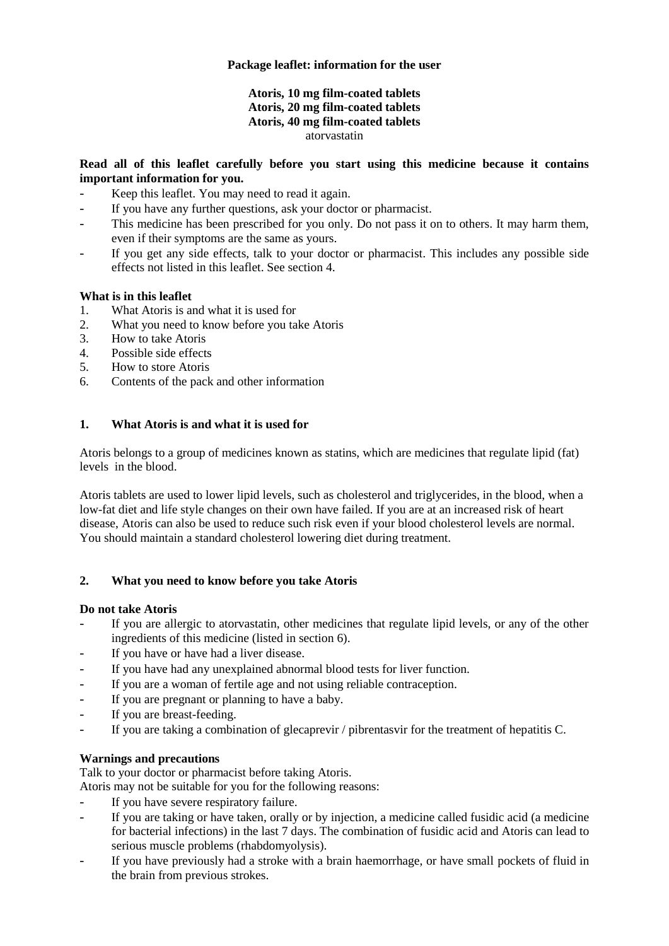# **Package leaflet: information for the user**

### **Atoris, 10 mg film-coated tablets Atoris, 20 mg film-coated tablets Atoris, 40 mg film-coated tablets** atorvastatin

# **Read all of this leaflet carefully before you start using this medicine because it contains important information for you.**

- Keep this leaflet. You may need to read it again.
- If you have any further questions, ask your doctor or pharmacist.
- This medicine has been prescribed for you only. Do not pass it on to others. It may harm them, even if their symptoms are the same as yours.
- If you get any side effects, talk to your doctor or pharmacist. This includes any possible side effects not listed in this leaflet. See section 4.

# **What is in this leaflet**

- 1. What Atoris is and what it is used for
- 2. What you need to know before you take Atoris
- 3. How to take Atoris
- 4. Possible side effects
- 5. How to store Atoris
- 6. Contents of the pack and other information

# **1. What Atoris is and what it is used for**

Atoris belongs to a group of medicines known as statins, which are medicines that regulate lipid (fat) levels in the blood.

Atoris tablets are used to lower lipid levels, such as cholesterol and triglycerides, in the blood, when a low-fat diet and life style changes on their own have failed. If you are at an increased risk of heart disease, Atoris can also be used to reduce such risk even if your blood cholesterol levels are normal. You should maintain a standard cholesterol lowering diet during treatment.

# **2. What you need to know before you take Atoris**

### **Do not take Atoris**

- If you are allergic to atorvastatin, other medicines that regulate lipid levels, or any of the other ingredients of this medicine (listed in section 6).
- If you have or have had a liver disease.
- If you have had any unexplained abnormal blood tests for liver function.
- If you are a woman of fertile age and not using reliable contraception.
- If you are pregnant or planning to have a baby.
- If you are breast-feeding.
- If you are taking a combination of glecaprevir / pibrentasvir for the treatment of hepatitis C.

# **Warnings and precautions**

Talk to your doctor or pharmacist before taking Atoris.

Atoris may not be suitable for you for the following reasons:

- If you have severe respiratory failure.
- If you are taking or have taken, orally or by injection, a medicine called fusidic acid (a medicine for bacterial infections) in the last 7 days. The combination of fusidic acid and Atoris can lead to serious muscle problems (rhabdomyolysis).
- If you have previously had a stroke with a brain haemorrhage, or have small pockets of fluid in the brain from previous strokes.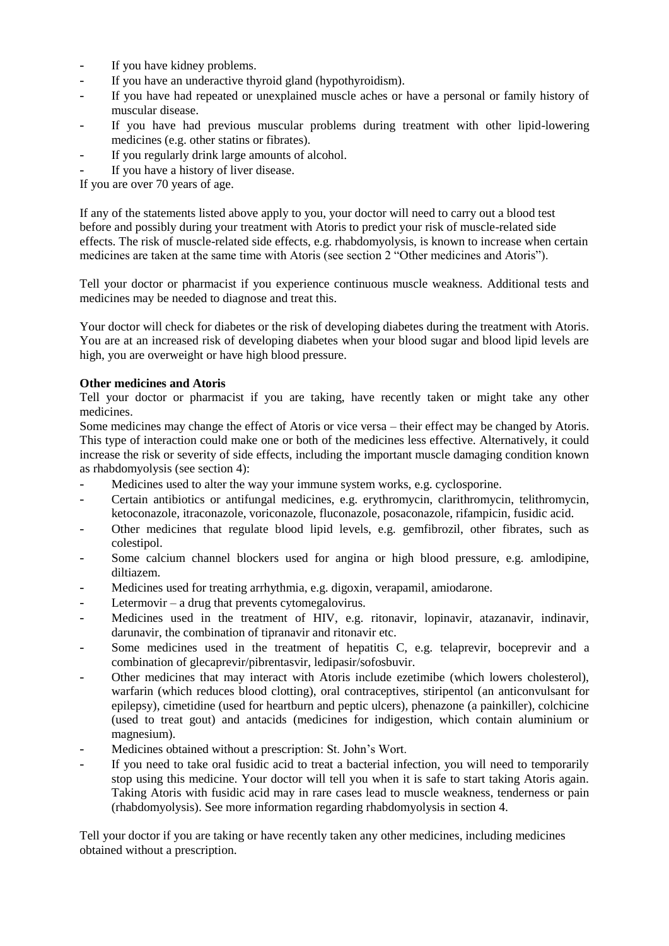- If you have kidney problems.
- If you have an underactive thyroid gland (hypothyroidism).
- If you have had repeated or unexplained muscle aches or have a personal or family history of muscular disease.
- If you have had previous muscular problems during treatment with other lipid-lowering medicines (e.g. other statins or fibrates).
- If you regularly drink large amounts of alcohol.
- If you have a history of liver disease.

If you are over 70 years of age.

If any of the statements listed above apply to you, your doctor will need to carry out a blood test before and possibly during your treatment with Atoris to predict your risk of muscle-related side effects. The risk of muscle-related side effects, e.g. rhabdomyolysis, is known to increase when certain medicines are taken at the same time with Atoris (see section 2 "Other medicines and Atoris").

Tell your doctor or pharmacist if you experience continuous muscle weakness. Additional tests and medicines may be needed to diagnose and treat this.

Your doctor will check for diabetes or the risk of developing diabetes during the treatment with Atoris. You are at an increased risk of developing diabetes when your blood sugar and blood lipid levels are high, you are overweight or have high blood pressure.

### **Other medicines and Atoris**

Tell your doctor or pharmacist if you are taking, have recently taken or might take any other medicines.

Some medicines may change the effect of Atoris or vice versa – their effect may be changed by Atoris. This type of interaction could make one or both of the medicines less effective. Alternatively, it could increase the risk or severity of side effects, including the important muscle damaging condition known as rhabdomyolysis (see section 4):

- Medicines used to alter the way your immune system works, e.g. cyclosporine.
- Certain antibiotics or antifungal medicines, e.g. erythromycin, clarithromycin, telithromycin, ketoconazole, itraconazole, voriconazole, fluconazole, posaconazole, rifampicin, fusidic acid.
- Other medicines that regulate blood lipid levels, e.g. gemfibrozil, other fibrates, such as colestipol.
- Some calcium channel blockers used for angina or high blood pressure, e.g. amlodipine, diltiazem.
- Medicines used for treating arrhythmia, e.g. digoxin, verapamil, amiodarone.
- Letermovir  $-$  a drug that prevents cytomegalovirus.
- Medicines used in the treatment of HIV, e.g. ritonavir, lopinavir, atazanavir, indinavir, darunavir, the combination of tipranavir and ritonavir etc.
- Some medicines used in the treatment of hepatitis C, e.g. telaprevir, boceprevir and a combination of glecaprevir/pibrentasvir, ledipasir/sofosbuvir.
- Other medicines that may interact with Atoris include ezetimibe (which lowers cholesterol), warfarin (which reduces blood clotting), oral contraceptives, stiripentol (an anticonvulsant for epilepsy), cimetidine (used for heartburn and peptic ulcers), phenazone (a painkiller), colchicine (used to treat gout) and antacids (medicines for indigestion, which contain aluminium or magnesium).
- Medicines obtained without a prescription: St. John's Wort.
- If you need to take oral fusidic acid to treat a bacterial infection, you will need to temporarily stop using this medicine. Your doctor will tell you when it is safe to start taking Atoris again. Taking Atoris with fusidic acid may in rare cases lead to muscle weakness, tenderness or pain (rhabdomyolysis). See more information regarding rhabdomyolysis in section 4.

Tell your doctor if you are taking or have recently taken any other medicines, including medicines obtained without a prescription.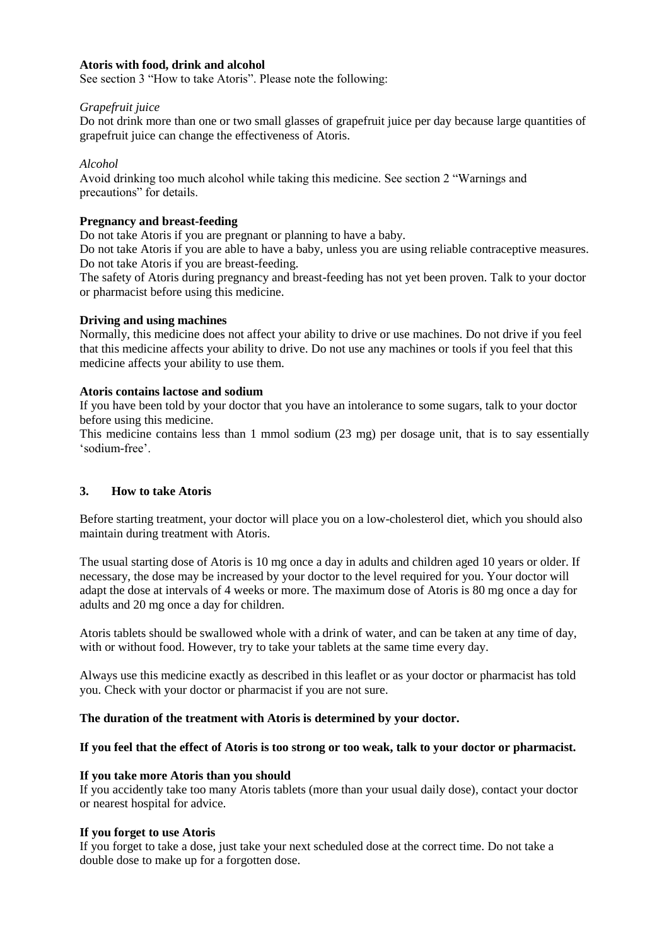### **Atoris with food, drink and alcohol**

See section 3 "How to take Atoris". Please note the following:

#### *Grapefruit juice*

Do not drink more than one or two small glasses of grapefruit juice per day because large quantities of grapefruit juice can change the effectiveness of Atoris.

#### *Alcohol*

Avoid drinking too much alcohol while taking this medicine. See section 2 "Warnings and precautions" for details.

### **Pregnancy and breast-feeding**

Do not take Atoris if you are pregnant or planning to have a baby.

Do not take Atoris if you are able to have a baby, unless you are using reliable contraceptive measures. Do not take Atoris if you are breast-feeding.

The safety of Atoris during pregnancy and breast-feeding has not yet been proven. Talk to your doctor or pharmacist before using this medicine.

#### **Driving and using machines**

Normally, this medicine does not affect your ability to drive or use machines. Do not drive if you feel that this medicine affects your ability to drive. Do not use any machines or tools if you feel that this medicine affects your ability to use them.

#### **Atoris contains lactose and sodium**

If you have been told by your doctor that you have an intolerance to some sugars, talk to your doctor before using this medicine.

This medicine contains less than 1 mmol sodium (23 mg) per dosage unit, that is to say essentially 'sodium-free'.

### **3. How to take Atoris**

Before starting treatment, your doctor will place you on a low-cholesterol diet, which you should also maintain during treatment with Atoris.

The usual starting dose of Atoris is 10 mg once a day in adults and children aged 10 years or older. If necessary, the dose may be increased by your doctor to the level required for you. Your doctor will adapt the dose at intervals of 4 weeks or more. The maximum dose of Atoris is 80 mg once a day for adults and 20 mg once a day for children.

Atoris tablets should be swallowed whole with a drink of water, and can be taken at any time of day, with or without food. However, try to take your tablets at the same time every day.

Always use this medicine exactly as described in this leaflet or as your doctor or pharmacist has told you. Check with your doctor or pharmacist if you are not sure.

### **The duration of the treatment with Atoris is determined by your doctor.**

### **If you feel that the effect of Atoris is too strong or too weak, talk to your doctor or pharmacist.**

### **If you take more Atoris than you should**

If you accidently take too many Atoris tablets (more than your usual daily dose), contact your doctor or nearest hospital for advice.

#### **If you forget to use Atoris**

If you forget to take a dose, just take your next scheduled dose at the correct time. Do not take a double dose to make up for a forgotten dose.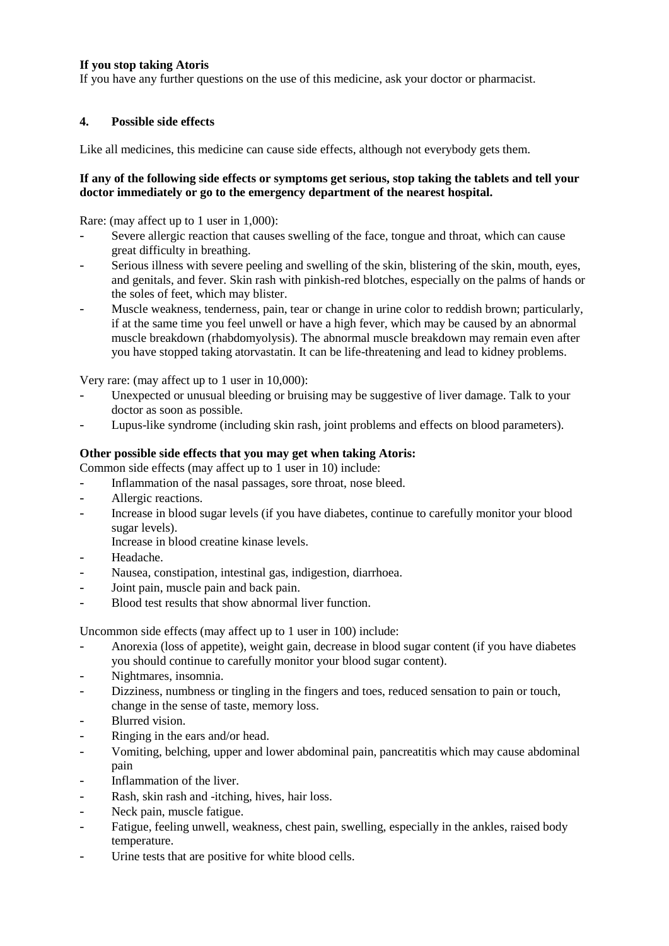# **If you stop taking Atoris**

If you have any further questions on the use of this medicine, ask your doctor or pharmacist.

# **4. Possible side effects**

Like all medicines, this medicine can cause side effects, although not everybody gets them.

### **If any of the following side effects or symptoms get serious, stop taking the tablets and tell your doctor immediately or go to the emergency department of the nearest hospital.**

Rare: (may affect up to 1 user in 1,000):

- Severe allergic reaction that causes swelling of the face, tongue and throat, which can cause great difficulty in breathing.
- Serious illness with severe peeling and swelling of the skin, blistering of the skin, mouth, eyes, and genitals, and fever. Skin rash with pinkish-red blotches, especially on the palms of hands or the soles of feet, which may blister.
- Muscle weakness, tenderness, pain, tear or change in urine color to reddish brown; particularly, if at the same time you feel unwell or have a high fever, which may be caused by an abnormal muscle breakdown (rhabdomyolysis). The abnormal muscle breakdown may remain even after you have stopped taking atorvastatin. It can be life-threatening and lead to kidney problems.

Very rare: (may affect up to 1 user in 10,000):

- Unexpected or unusual bleeding or bruising may be suggestive of liver damage. Talk to your doctor as soon as possible.
- Lupus-like syndrome (including skin rash, joint problems and effects on blood parameters).

### **Other possible side effects that you may get when taking Atoris:**

Common side effects (may affect up to 1 user in 10) include:

- Inflammation of the nasal passages, sore throat, nose bleed.
- Allergic reactions.
- Increase in blood sugar levels (if you have diabetes, continue to carefully monitor your blood sugar levels).
	- Increase in blood creatine kinase levels.
- Headache.
- Nausea, constipation, intestinal gas, indigestion, diarrhoea.
- Joint pain, muscle pain and back pain.
- Blood test results that show abnormal liver function.

Uncommon side effects (may affect up to 1 user in 100) include:

- Anorexia (loss of appetite), weight gain, decrease in blood sugar content (if you have diabetes you should continue to carefully monitor your blood sugar content).
- Nightmares, insomnia.
- Dizziness, numbness or tingling in the fingers and toes, reduced sensation to pain or touch, change in the sense of taste, memory loss.
- Blurred vision.
- Ringing in the ears and/or head.
- Vomiting, belching, upper and lower abdominal pain, pancreatitis which may cause abdominal pain
- Inflammation of the liver.
- Rash, skin rash and -itching, hives, hair loss.
- Neck pain, muscle fatigue.
- Fatigue, feeling unwell, weakness, chest pain, swelling, especially in the ankles, raised body temperature.
- Urine tests that are positive for white blood cells.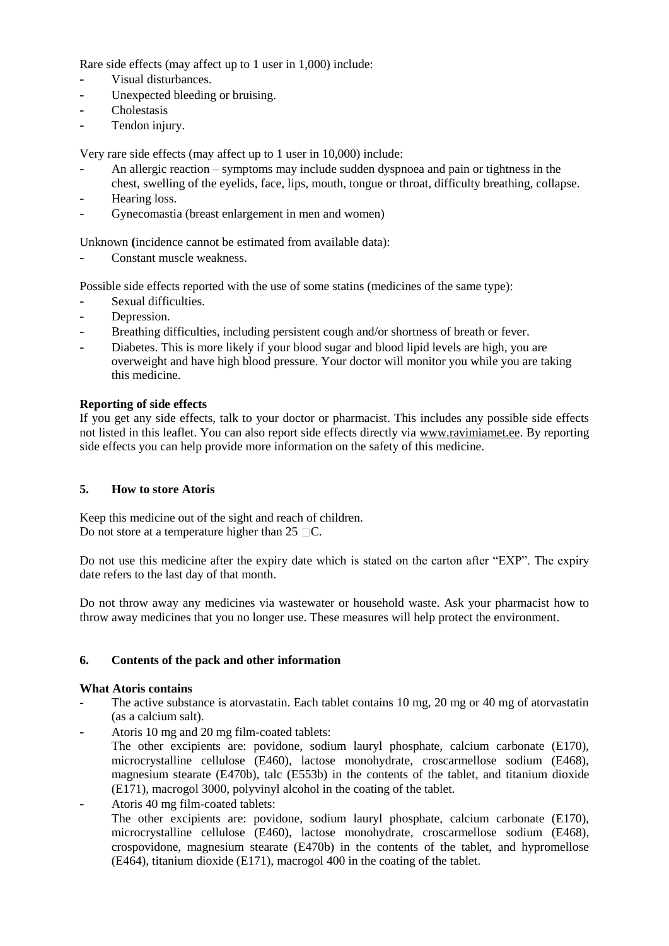Rare side effects (may affect up to 1 user in 1,000) include:

- Visual disturbances.
- Unexpected bleeding or bruising.
- Cholestasis
- Tendon injury.

Very rare side effects (may affect up to 1 user in 10,000) include:

- An allergic reaction symptoms may include sudden dyspnoea and pain or tightness in the chest, swelling of the eyelids, face, lips, mouth, tongue or throat, difficulty breathing, collapse.
- Hearing loss.
- Gynecomastia (breast enlargement in men and women)

Unknown **(**incidence cannot be estimated from available data):

Constant muscle weakness.

Possible side effects reported with the use of some statins (medicines of the same type):

- Sexual difficulties.
- Depression.
- Breathing difficulties, including persistent cough and/or shortness of breath or fever.
- Diabetes. This is more likely if your blood sugar and blood lipid levels are high, you are overweight and have high blood pressure. Your doctor will monitor you while you are taking this medicine.

# **Reporting of side effects**

If you get any side effects, talk to your doctor or pharmacist. This includes any possible side effects not listed in this leaflet. You can also report side effects directly via [www.ravimiamet.ee.](http://www.ravimiamet.ee/) By reporting side effects you can help provide more information on the safety of this medicine.

# **5. How to store Atoris**

Keep this medicine out of the sight and reach of children. Do not store at a temperature higher than  $25 \square C$ .

Do not use this medicine after the expiry date which is stated on the carton after "EXP". The expiry date refers to the last day of that month.

Do not throw away any medicines via wastewater or household waste. Ask your pharmacist how to throw away medicines that you no longer use. These measures will help protect the environment.

# **6. Contents of the pack and other information**

### **What Atoris contains**

- The active substance is atorvastatin. Each tablet contains 10 mg, 20 mg or 40 mg of atorvastatin (as a calcium salt).
- Atoris 10 mg and 20 mg film-coated tablets: The other excipients are: povidone, sodium lauryl phosphate, calcium carbonate (E170), microcrystalline cellulose (E460), lactose monohydrate, croscarmellose sodium (E468), magnesium stearate (E470b), talc (E553b) in the contents of the tablet, and titanium dioxide (E171), macrogol 3000, polyvinyl alcohol in the coating of the tablet.
- Atoris 40 mg film-coated tablets: The other excipients are: povidone, sodium lauryl phosphate, calcium carbonate (E170), microcrystalline cellulose (E460), lactose monohydrate, croscarmellose sodium (E468), crospovidone, magnesium stearate (E470b) in the contents of the tablet, and hypromellose (E464), titanium dioxide (E171), macrogol 400 in the coating of the tablet.